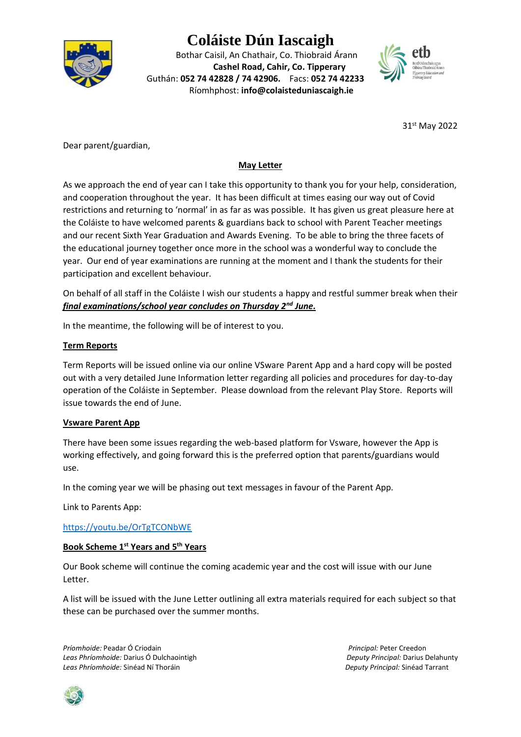

# **Coláiste Dún Iascaigh**

Bothar Caisil, An Chathair, Co. Thiobraid Árann **Cashel Road, Cahir, Co. Tipperary** Guthán: **052 74 42828 / 74 42906.** Facs: **052 74 42233** Ríomhphost: **info@colaisteduniascaigh.ie**



31st May 2022

Dear parent/guardian,

# **May Letter**

As we approach the end of year can I take this opportunity to thank you for your help, consideration, and cooperation throughout the year. It has been difficult at times easing our way out of Covid restrictions and returning to 'normal' in as far as was possible. It has given us great pleasure here at the Coláiste to have welcomed parents & guardians back to school with Parent Teacher meetings and our recent Sixth Year Graduation and Awards Evening. To be able to bring the three facets of the educational journey together once more in the school was a wonderful way to conclude the year. Our end of year examinations are running at the moment and I thank the students for their participation and excellent behaviour.

On behalf of all staff in the Coláiste I wish our students a happy and restful summer break when their *final examinations/school year concludes on Thursday 2nd June.*

In the meantime, the following will be of interest to you.

# **Term Reports**

Term Reports will be issued online via our online VSware Parent App and a hard copy will be posted out with a very detailed June Information letter regarding all policies and procedures for day-to-day operation of the Coláiste in September. Please download from the relevant Play Store. Reports will issue towards the end of June.

### **Vsware Parent App**

There have been some issues regarding the web-based platform for Vsware, however the App is working effectively, and going forward this is the preferred option that parents/guardians would use.

In the coming year we will be phasing out text messages in favour of the Parent App.

Link to Parents App:

<https://youtu.be/OrTgTCONbWE>

### **Book Scheme 1st Years and 5th Years**

Our Book scheme will continue the coming academic year and the cost will issue with our June Letter.

A list will be issued with the June Letter outlining all extra materials required for each subject so that these can be purchased over the summer months.

*Príomhoide:* Peadar Ó Criodain *Principal:* Peter Creedon *Leas Phríomhoide:* Darius Ó Dulchaointigh *Deputy Principal:* Darius Delahunty *Leas Phríomhoide:* Sinéad Ní Thoráin *Deputy Principal:* Sinéad Tarrant

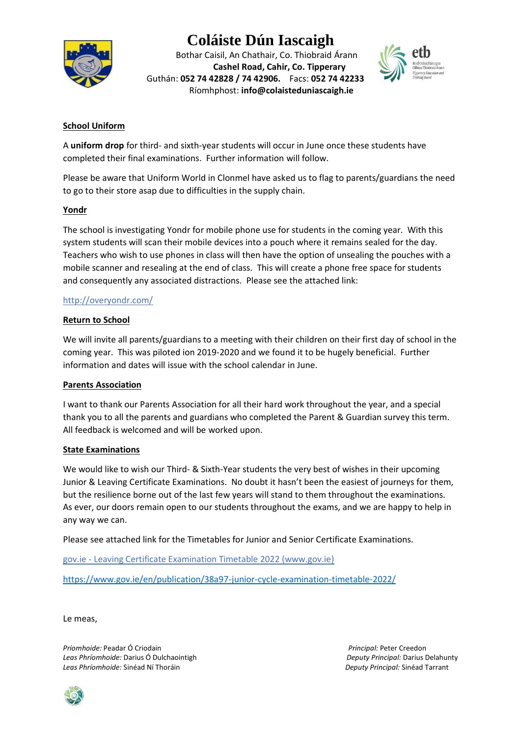# **Coláiste Dún Iascaigh**



Bothar Caisil, An Chathair, Co. Thiobraid Árann **Cashel Road, Cahir, Co. Tipperary** Guthán: **052 74 42828 / 74 42906.** Facs: **052 74 42233** Ríomhphost: **info@colaisteduniascaigh.ie**



# **School Uniform**

A **uniform drop** for third- and sixth-year students will occur in June once these students have completed their final examinations. Further information will follow.

Please be aware that Uniform World in Clonmel have asked us to flag to parents/guardians the need to go to their store asap due to difficulties in the supply chain.

#### **Yondr**

The school is investigating Yondr for mobile phone use for students in the coming year. With this system students will scan their mobile devices into a pouch where it remains sealed for the day. Teachers who wish to use phones in class will then have the option of unsealing the pouches with a mobile scanner and resealing at the end of class. This will create a phone free space for students and consequently any associated distractions. Please see the attached link:

#### <http://overyondr.com/>

#### **Return to School**

We will invite all parents/guardians to a meeting with their children on their first day of school in the coming year. This was piloted ion 2019-2020 and we found it to be hugely beneficial. Further information and dates will issue with the school calendar in June.

#### **Parents Association**

I want to thank our Parents Association for all their hard work throughout the year, and a special thank you to all the parents and guardians who completed the Parent & Guardian survey this term. All feedback is welcomed and will be worked upon.

#### **State Examinations**

We would like to wish our Third- & Sixth-Year students the very best of wishes in their upcoming Junior & Leaving Certificate Examinations. No doubt it hasn't been the easiest of journeys for them, but the resilience borne out of the last few years will stand to them throughout the examinations. As ever, our doors remain open to our students throughout the exams, and we are happy to help in any way we can.

Please see attached link for the Timetables for Junior and Senior Certificate Examinations.

gov.ie - [Leaving Certificate Examination Timetable 2022 \(www.gov.ie\)](https://www.gov.ie/en/publication/4c442-leaving-certificate-examination-timetable-2022/)

<https://www.gov.ie/en/publication/38a97-junior-cycle-examination-timetable-2022/>

Le meas,

*Príomhoide:* Peadar Ó Criodain *Principal:* Peter Creedon *Leas Phríomhoide:* Darius Ó Dulchaointigh *Deputy Principal:* Darius Delahunty *Leas Phríomhoide:* Sinéad Ní Thoráin *Deputy Principal:* Sinéad Tarrant